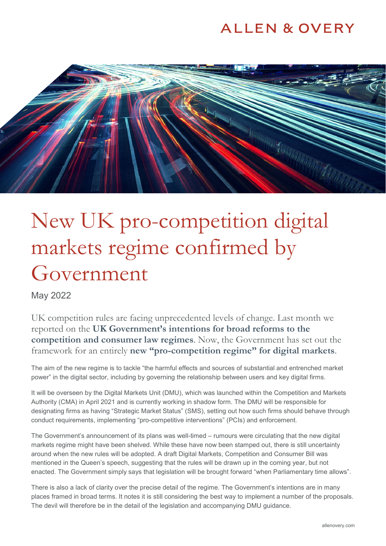## **ALLEN & OVERY**



# New UK pro-competition digital markets regime confirmed by Government

May 2022

UK competition rules are facing unprecedented levels of change. Last month we reported on the **[UK Government's intentions for broad reforms to the](https://www.allenovery.com/en-gb/global/news-and-insights/publications/uk-government-confirms-reforms-to-competition-and-consumer-laws)  [competition and consumer law regimes](https://www.allenovery.com/en-gb/global/news-and-insights/publications/uk-government-confirms-reforms-to-competition-and-consumer-laws)**. Now, the Government has set out the framework for an entirely **[new "pro-competition regime" for digital markets](https://assets.publishing.service.gov.uk/government/uploads/system/uploads/attachment_data/file/1073164/E02740688_CP_657_Gov_Resp_Consultation_on_pro-comp_digital_markets_Accessible.pdf)**.

The aim of the new regime is to tackle "the harmful effects and sources of substantial and entrenched market power" in the digital sector, including by governing the relationship between users and key digital firms.

It will be overseen by the Digital Markets Unit (DMU), which was launched within the Competition and Markets Authority (CMA) in April 2021 and is currently working in shadow form. The DMU will be responsible for designating firms as having "Strategic Market Status" (SMS), setting out how such firms should behave through conduct requirements, implementing "pro-competitive interventions" (PCIs) and enforcement.

The Government's announcement of its plans was well-timed – rumours were circulating that the new digital markets regime might have been shelved. While these have now been stamped out, there is still uncertainty around when the new rules will be adopted. A draft Digital Markets, Competition and Consumer Bill was mentioned in the Queen's speech, suggesting that the rules will be drawn up in the coming year, but not enacted. The Government simply says that legislation will be brought forward "when Parliamentary time allows".

There is also a lack of clarity over the precise detail of the regime. The Government's intentions are in many places framed in broad terms. It notes it is still considering the best way to implement a number of the proposals. The devil will therefore be in the detail of the legislation and accompanying DMU guidance.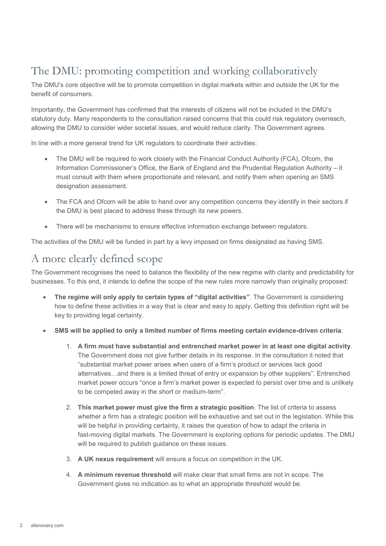### The DMU: promoting competition and working collaboratively

The DMU's core objective will be to promote competition in digital markets within and outside the UK for the benefit of consumers.

Importantly, the Government has confirmed that the interests of citizens will not be included in the DMU's statutory duty. Many respondents to the consultation raised concerns that this could risk regulatory overreach, allowing the DMU to consider wider societal issues, and would reduce clarity. The Government agrees.

In line with a more general trend for UK regulators to coordinate their activities:

- The DMU will be required to work closely with the Financial Conduct Authority (FCA), Ofcom, the Information Commissioner's Office, the Bank of England and the Prudential Regulation Authority – it must consult with them where proportionate and relevant, and notify them when opening an SMS designation assessment.
- The FCA and Ofcom will be able to hand over any competition concerns they identify in their sectors if the DMU is best placed to address these through its new powers.
- There will be mechanisms to ensure effective information exchange between regulators.

The activities of the DMU will be funded in part by a levy imposed on firms designated as having SMS.

#### A more clearly defined scope

The Government recognises the need to balance the flexibility of the new regime with clarity and predictability for businesses. To this end, it intends to define the scope of the new rules more narrowly than originally proposed:

- **The regime will only apply to certain types of "digital activities"**. The Government is considering how to define these activities in a way that is clear and easy to apply. Getting this definition right will be key to providing legal certainty.
- **SMS will be applied to only a limited number of firms meeting certain evidence-driven criteria**:
	- 1. **A firm must have substantial and entrenched market power in at least one digital activity**. The Government does not give further details in its response. In the consultation it noted that "substantial market power arises when users of a firm's product or services lack good alternatives…and there is a limited threat of entry or expansion by other suppliers". Entrenched market power occurs "once a firm's market power is expected to persist over time and is unlikely to be competed away in the short or medium-term".
	- 2. **This market power must give the firm a strategic position**. The list of criteria to assess whether a firm has a strategic position will be exhaustive and set out in the legislation. While this will be helpful in providing certainty, it raises the question of how to adapt the criteria in fast-moving digital markets. The Government is exploring options for periodic updates. The DMU will be required to publish guidance on these issues.
	- 3. **A UK nexus requirement** will ensure a focus on competition in the UK.
	- 4. **A minimum revenue threshold** will make clear that small firms are not in scope. The Government gives no indication as to what an appropriate threshold would be.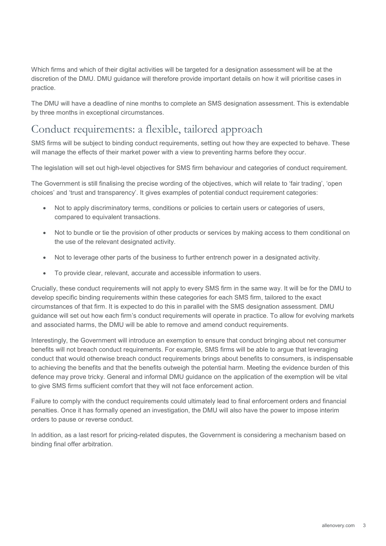Which firms and which of their digital activities will be targeted for a designation assessment will be at the discretion of the DMU. DMU guidance will therefore provide important details on how it will prioritise cases in practice.

The DMU will have a deadline of nine months to complete an SMS designation assessment. This is extendable by three months in exceptional circumstances.

#### Conduct requirements: a flexible, tailored approach

SMS firms will be subject to binding conduct requirements, setting out how they are expected to behave. These will manage the effects of their market power with a view to preventing harms before they occur.

The legislation will set out high-level objectives for SMS firm behaviour and categories of conduct requirement.

The Government is still finalising the precise wording of the objectives, which will relate to 'fair trading', 'open choices' and 'trust and transparency'. It gives examples of potential conduct requirement categories:

- Not to apply discriminatory terms, conditions or policies to certain users or categories of users, compared to equivalent transactions.
- Not to bundle or tie the provision of other products or services by making access to them conditional on the use of the relevant designated activity.
- Not to leverage other parts of the business to further entrench power in a designated activity.
- To provide clear, relevant, accurate and accessible information to users.

Crucially, these conduct requirements will not apply to every SMS firm in the same way. It will be for the DMU to develop specific binding requirements within these categories for each SMS firm, tailored to the exact circumstances of that firm. It is expected to do this in parallel with the SMS designation assessment. DMU guidance will set out how each firm's conduct requirements will operate in practice. To allow for evolving markets and associated harms, the DMU will be able to remove and amend conduct requirements.

Interestingly, the Government will introduce an exemption to ensure that conduct bringing about net consumer benefits will not breach conduct requirements. For example, SMS firms will be able to argue that leveraging conduct that would otherwise breach conduct requirements brings about benefits to consumers, is indispensable to achieving the benefits and that the benefits outweigh the potential harm. Meeting the evidence burden of this defence may prove tricky. General and informal DMU guidance on the application of the exemption will be vital to give SMS firms sufficient comfort that they will not face enforcement action.

Failure to comply with the conduct requirements could ultimately lead to final enforcement orders and financial penalties. Once it has formally opened an investigation, the DMU will also have the power to impose interim orders to pause or reverse conduct.

In addition, as a last resort for pricing-related disputes, the Government is considering a mechanism based on binding final offer arbitration.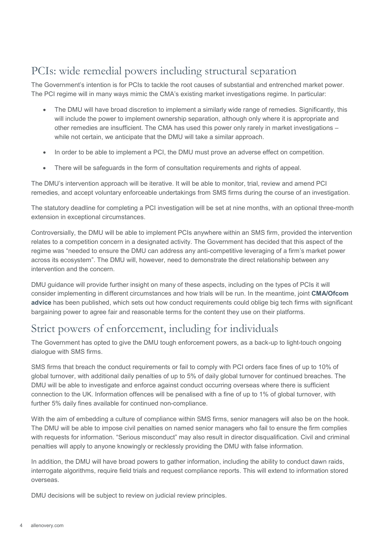#### PCIs: wide remedial powers including structural separation

The Government's intention is for PCIs to tackle the root causes of substantial and entrenched market power. The PCI regime will in many ways mimic the CMA's existing market investigations regime. In particular:

- The DMU will have broad discretion to implement a similarly wide range of remedies. Significantly, this will include the power to implement ownership separation, although only where it is appropriate and other remedies are insufficient. The CMA has used this power only rarely in market investigations – while not certain, we anticipate that the DMU will take a similar approach.
- In order to be able to implement a PCI, the DMU must prove an adverse effect on competition.
- There will be safeguards in the form of consultation requirements and rights of appeal.

The DMU's intervention approach will be iterative. It will be able to monitor, trial, review and amend PCI remedies, and accept voluntary enforceable undertakings from SMS firms during the course of an investigation.

The statutory deadline for completing a PCI investigation will be set at nine months, with an optional three-month extension in exceptional circumstances.

Controversially, the DMU will be able to implement PCIs anywhere within an SMS firm, provided the intervention relates to a competition concern in a designated activity. The Government has decided that this aspect of the regime was "needed to ensure the DMU can address any anti-competitive leveraging of a firm's market power across its ecosystem". The DMU will, however, need to demonstrate the direct relationship between any intervention and the concern.

DMU guidance will provide further insight on many of these aspects, including on the types of PCIs it will consider implementing in different circumstances and how trials will be run. In the meantime, joint **[CMA/Ofcom](https://www.gov.uk/government/news/cma-publishes-code-of-conduct-advice-for-platforms-and-publishers)  [advice](https://www.gov.uk/government/news/cma-publishes-code-of-conduct-advice-for-platforms-and-publishers)** has been published, which sets out how conduct requirements could oblige big tech firms with significant bargaining power to agree fair and reasonable terms for the content they use on their platforms.

#### Strict powers of enforcement, including for individuals

The Government has opted to give the DMU tough enforcement powers, as a back-up to light-touch ongoing dialogue with SMS firms.

SMS firms that breach the conduct requirements or fail to comply with PCI orders face fines of up to 10% of global turnover, with additional daily penalties of up to 5% of daily global turnover for continued breaches. The DMU will be able to investigate and enforce against conduct occurring overseas where there is sufficient connection to the UK. Information offences will be penalised with a fine of up to 1% of global turnover, with further 5% daily fines available for continued non-compliance.

With the aim of embedding a culture of compliance within SMS firms, senior managers will also be on the hook. The DMU will be able to impose civil penalties on named senior managers who fail to ensure the firm complies with requests for information. "Serious misconduct" may also result in director disqualification. Civil and criminal penalties will apply to anyone knowingly or recklessly providing the DMU with false information.

In addition, the DMU will have broad powers to gather information, including the ability to conduct dawn raids, interrogate algorithms, require field trials and request compliance reports. This will extend to information stored overseas.

DMU decisions will be subject to review on judicial review principles.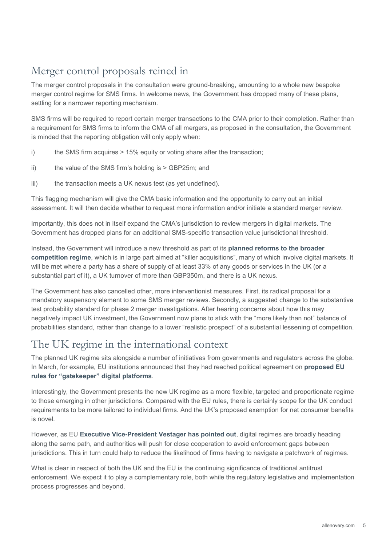### Merger control proposals reined in

The merger control proposals in the consultation were ground-breaking, amounting to a whole new bespoke merger control regime for SMS firms. In welcome news, the Government has dropped many of these plans, settling for a narrower reporting mechanism.

SMS firms will be required to report certain merger transactions to the CMA prior to their completion. Rather than a requirement for SMS firms to inform the CMA of all mergers, as proposed in the consultation, the Government is minded that the reporting obligation will only apply when:

- i) the SMS firm acquires > 15% equity or voting share after the transaction;
- ii) the value of the SMS firm's holding is > GBP25m; and
- iii) the transaction meets a UK nexus test (as yet undefined).

This flagging mechanism will give the CMA basic information and the opportunity to carry out an initial assessment. It will then decide whether to request more information and/or initiate a standard merger review.

Importantly, this does not in itself expand the CMA's jurisdiction to review mergers in digital markets. The Government has dropped plans for an additional SMS-specific transaction value jurisdictional threshold.

Instead, the Government will introduce a new threshold as part of its **[planned reforms to the broader](https://www.allenovery.com/en-gb/global/news-and-insights/publications/uk-government-confirms-reforms-to-competition-and-consumer-laws)  [competition regime](https://www.allenovery.com/en-gb/global/news-and-insights/publications/uk-government-confirms-reforms-to-competition-and-consumer-laws)**, which is in large part aimed at "killer acquisitions", many of which involve digital markets. It will be met where a party has a share of supply of at least 33% of any goods or services in the UK (or a substantial part of it), a UK turnover of more than GBP350m, and there is a UK nexus.

The Government has also cancelled other, more interventionist measures. First, its radical proposal for a mandatory suspensory element to some SMS merger reviews. Secondly, a suggested change to the substantive test probability standard for phase 2 merger investigations. After hearing concerns about how this may negatively impact UK investment, the Government now plans to stick with the "more likely than not" balance of probabilities standard, rather than change to a lower "realistic prospect" of a substantial lessening of competition.

#### The UK regime in the international context

The planned UK regime sits alongside a number of initiatives from governments and regulators across the globe. In March, for example, EU institutions announced that they had reached political agreement on **[proposed EU](https://www.allenovery.com/en-gb/global/news-and-insights/publications/eu-institutions-announce-political-agreement-on-proposed-rules-for-gatekeeper-digital-platforms)  [rules for "gatekeeper" digital platforms](https://www.allenovery.com/en-gb/global/news-and-insights/publications/eu-institutions-announce-political-agreement-on-proposed-rules-for-gatekeeper-digital-platforms)**.

Interestingly, the Government presents the new UK regime as a more flexible, targeted and proportionate regime to those emerging in other jurisdictions. Compared with the EU rules, there is certainly scope for the UK conduct requirements to be more tailored to individual firms. And the UK's proposed exemption for net consumer benefits is novel.

However, as EU **[Executive Vice-President Vestager has pointed out](https://ec.europa.eu/commission/presscorner/detail/en/SPEECH_22_2822)**, digital regimes are broadly heading along the same path, and authorities will push for close cooperation to avoid enforcement gaps between jurisdictions. This in turn could help to reduce the likelihood of firms having to navigate a patchwork of regimes.

What is clear in respect of both the UK and the EU is the continuing significance of traditional antitrust enforcement. We expect it to play a complementary role, both while the regulatory legislative and implementation process progresses and beyond.